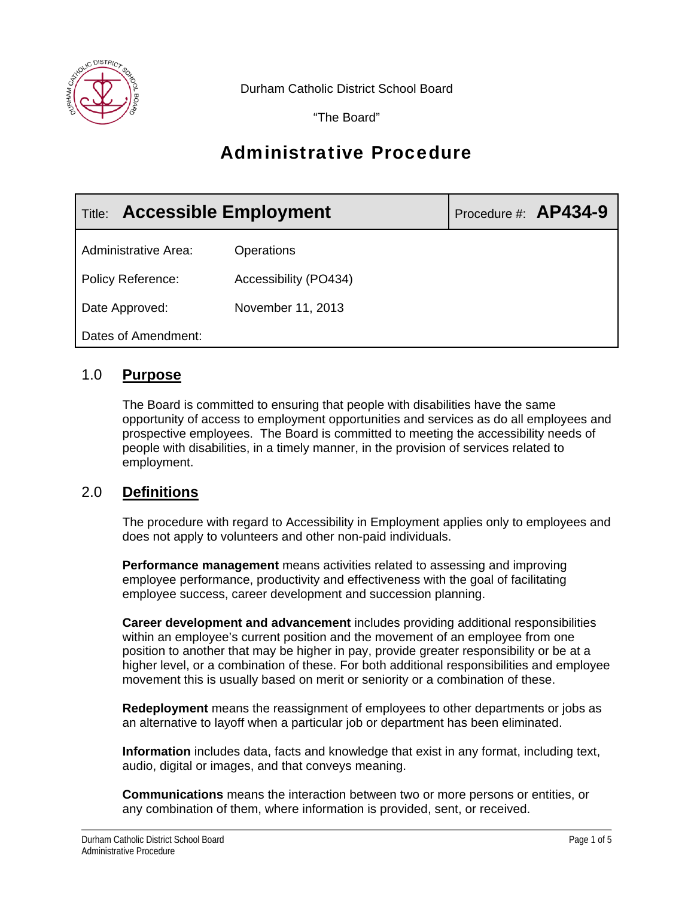

Durham Catholic District School Board

"The Board"

# Administrative Procedure

| <b>Accessible Employment</b><br>Title: |                       | Procedure #: AP434-9 |
|----------------------------------------|-----------------------|----------------------|
| <b>Administrative Area:</b>            | Operations            |                      |
| <b>Policy Reference:</b>               | Accessibility (PO434) |                      |
| Date Approved:                         | November 11, 2013     |                      |
| Dates of Amendment:                    |                       |                      |

# 1.0 **Purpose**

The Board is committed to ensuring that people with disabilities have the same opportunity of access to employment opportunities and services as do all employees and prospective employees. The Board is committed to meeting the accessibility needs of people with disabilities, in a timely manner, in the provision of services related to employment.

# 2.0 **Definitions**

The procedure with regard to Accessibility in Employment applies only to employees and does not apply to volunteers and other non-paid individuals.

**Performance management** means activities related to assessing and improving employee performance, productivity and effectiveness with the goal of facilitating employee success, career development and succession planning.

**Career development and advancement** includes providing additional responsibilities within an employee's current position and the movement of an employee from one position to another that may be higher in pay, provide greater responsibility or be at a higher level, or a combination of these. For both additional responsibilities and employee movement this is usually based on merit or seniority or a combination of these.

**Redeployment** means the reassignment of employees to other departments or jobs as an alternative to layoff when a particular job or department has been eliminated.

**Information** includes data, facts and knowledge that exist in any format, including text, audio, digital or images, and that conveys meaning.

**Communications** means the interaction between two or more persons or entities, or any combination of them, where information is provided, sent, or received.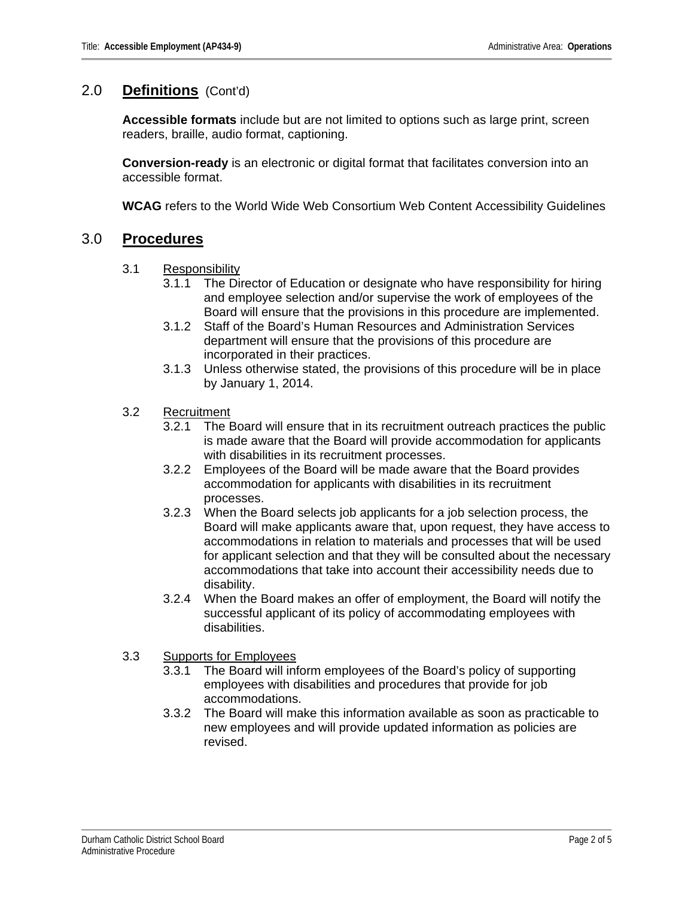## 2.0 **Definitions** (Cont'd)

**Accessible formats** include but are not limited to options such as large print, screen readers, braille, audio format, captioning.

**Conversion-ready** is an electronic or digital format that facilitates conversion into an accessible format.

**WCAG** refers to the World Wide Web Consortium Web Content Accessibility Guidelines

# 3.0 **Procedures**

- 3.1 Responsibility
	- 3.1.1 The Director of Education or designate who have responsibility for hiring and employee selection and/or supervise the work of employees of the Board will ensure that the provisions in this procedure are implemented.
	- 3.1.2 Staff of the Board's Human Resources and Administration Services department will ensure that the provisions of this procedure are incorporated in their practices.
	- 3.1.3 Unless otherwise stated, the provisions of this procedure will be in place by January 1, 2014.
- 3.2 Recruitment
	- 3.2.1 The Board will ensure that in its recruitment outreach practices the public is made aware that the Board will provide accommodation for applicants with disabilities in its recruitment processes.
	- 3.2.2 Employees of the Board will be made aware that the Board provides accommodation for applicants with disabilities in its recruitment processes.
	- 3.2.3 When the Board selects job applicants for a job selection process, the Board will make applicants aware that, upon request, they have access to accommodations in relation to materials and processes that will be used for applicant selection and that they will be consulted about the necessary accommodations that take into account their accessibility needs due to disability.
	- 3.2.4 When the Board makes an offer of employment, the Board will notify the successful applicant of its policy of accommodating employees with disabilities.

## 3.3 Supports for Employees

- 3.3.1 The Board will inform employees of the Board's policy of supporting employees with disabilities and procedures that provide for job accommodations.
- 3.3.2 The Board will make this information available as soon as practicable to new employees and will provide updated information as policies are revised.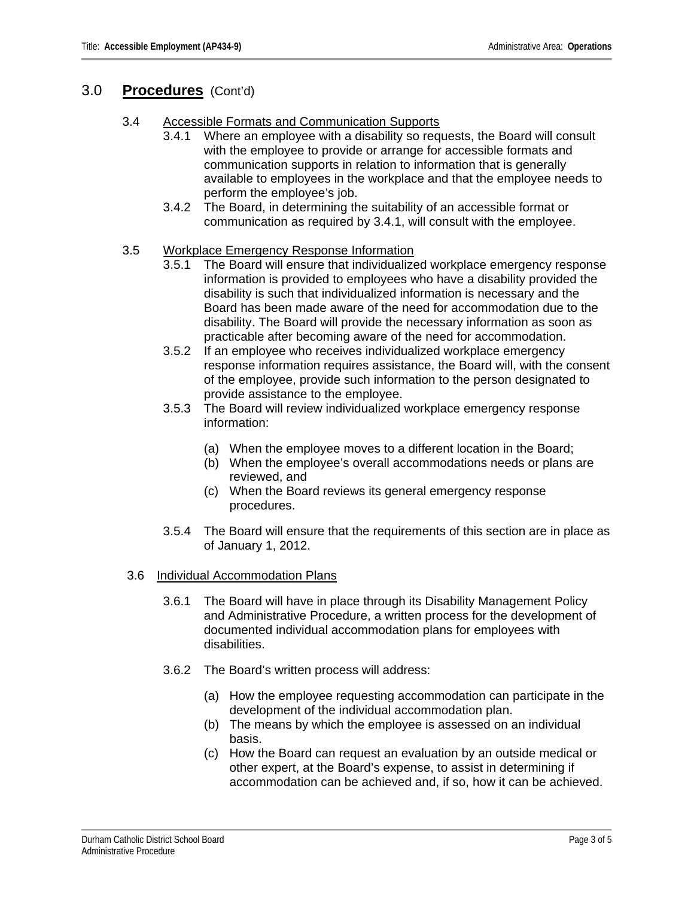## 3.0 **Procedures** (Cont'd)

- 3.4 Accessible Formats and Communication Supports
	- 3.4.1 Where an employee with a disability so requests, the Board will consult with the employee to provide or arrange for accessible formats and communication supports in relation to information that is generally available to employees in the workplace and that the employee needs to perform the employee's job.
	- 3.4.2 The Board, in determining the suitability of an accessible format or communication as required by 3.4.1, will consult with the employee.

### 3.5 Workplace Emergency Response Information

- 3.5.1 The Board will ensure that individualized workplace emergency response information is provided to employees who have a disability provided the disability is such that individualized information is necessary and the Board has been made aware of the need for accommodation due to the disability. The Board will provide the necessary information as soon as practicable after becoming aware of the need for accommodation.
- 3.5.2 If an employee who receives individualized workplace emergency response information requires assistance, the Board will, with the consent of the employee, provide such information to the person designated to provide assistance to the employee.
- 3.5.3 The Board will review individualized workplace emergency response information:
	- (a) When the employee moves to a different location in the Board;
	- (b) When the employee's overall accommodations needs or plans are reviewed, and
	- (c) When the Board reviews its general emergency response procedures.
- 3.5.4 The Board will ensure that the requirements of this section are in place as of January 1, 2012.

### 3.6 Individual Accommodation Plans

- 3.6.1 The Board will have in place through its Disability Management Policy and Administrative Procedure, a written process for the development of documented individual accommodation plans for employees with disabilities.
- 3.6.2 The Board's written process will address:
	- (a) How the employee requesting accommodation can participate in the development of the individual accommodation plan.
	- (b) The means by which the employee is assessed on an individual basis.
	- (c) How the Board can request an evaluation by an outside medical or other expert, at the Board's expense, to assist in determining if accommodation can be achieved and, if so, how it can be achieved.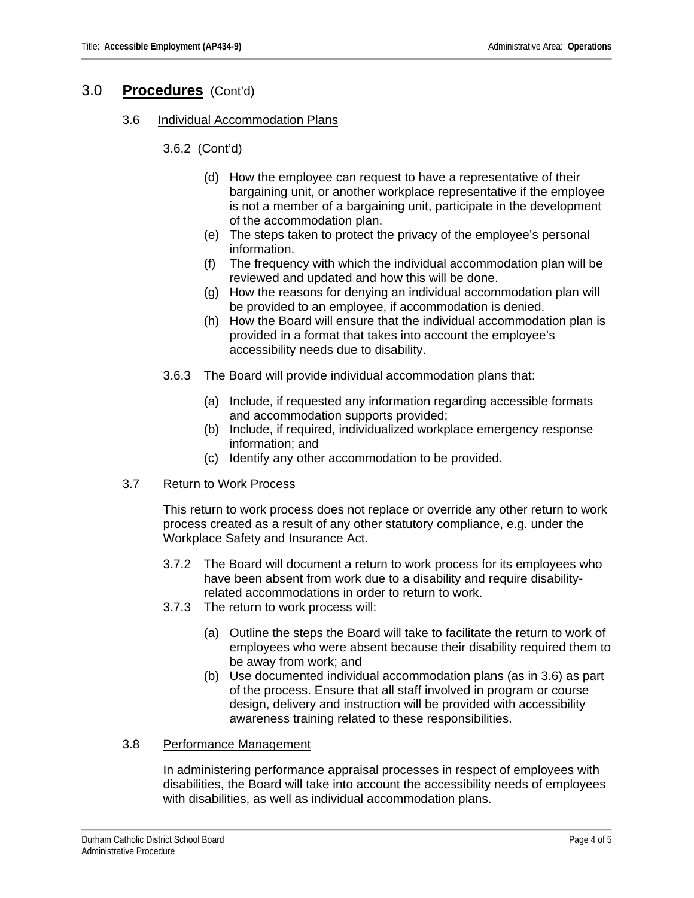## 3.0 **Procedures** (Cont'd)

3.6 Individual Accommodation Plans

3.6.2 (Cont'd)

- (d) How the employee can request to have a representative of their bargaining unit, or another workplace representative if the employee is not a member of a bargaining unit, participate in the development of the accommodation plan.
- (e) The steps taken to protect the privacy of the employee's personal information.
- (f) The frequency with which the individual accommodation plan will be reviewed and updated and how this will be done.
- (g) How the reasons for denying an individual accommodation plan will be provided to an employee, if accommodation is denied.
- (h) How the Board will ensure that the individual accommodation plan is provided in a format that takes into account the employee's accessibility needs due to disability.
- 3.6.3 The Board will provide individual accommodation plans that:
	- (a) Include, if requested any information regarding accessible formats and accommodation supports provided;
	- (b) Include, if required, individualized workplace emergency response information; and
	- (c) Identify any other accommodation to be provided.

### 3.7 Return to Work Process

This return to work process does not replace or override any other return to work process created as a result of any other statutory compliance, e.g. under the Workplace Safety and Insurance Act.

- 3.7.2 The Board will document a return to work process for its employees who have been absent from work due to a disability and require disabilityrelated accommodations in order to return to work.
- 3.7.3 The return to work process will:
	- (a) Outline the steps the Board will take to facilitate the return to work of employees who were absent because their disability required them to be away from work; and
	- (b) Use documented individual accommodation plans (as in 3.6) as part of the process. Ensure that all staff involved in program or course design, delivery and instruction will be provided with accessibility awareness training related to these responsibilities.

### 3.8 Performance Management

In administering performance appraisal processes in respect of employees with disabilities, the Board will take into account the accessibility needs of employees with disabilities, as well as individual accommodation plans.